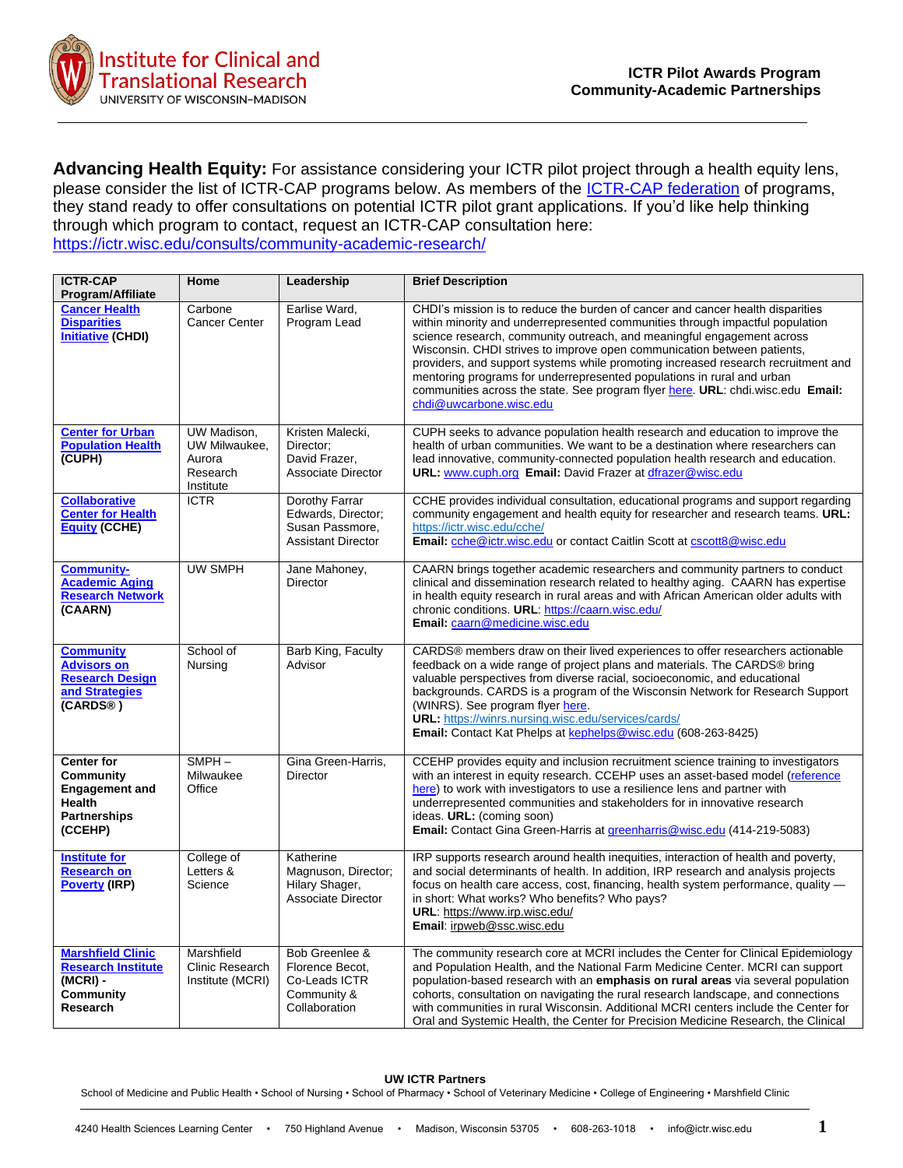

**Advancing Health Equity:** For assistance considering your ICTR pilot project through a health equity lens, please consider the list of ICTR-CAP programs below. As members of the [ICTR-CAP federation](https://ictr.wisc.edu/community-academic-research/) of programs, they stand ready to offer consultations on potential ICTR pilot grant applications. If you'd like help thinking through which program to contact, request an ICTR-CAP consultation here: <https://ictr.wisc.edu/consults/community-academic-research/>

| <b>ICTR-CAP</b>                                                                                                   | Home                                                            | Leadership                                                                           | <b>Brief Description</b>                                                                                                                                                                                                                                                                                                                                                                                                                                                                                                                                                                          |
|-------------------------------------------------------------------------------------------------------------------|-----------------------------------------------------------------|--------------------------------------------------------------------------------------|---------------------------------------------------------------------------------------------------------------------------------------------------------------------------------------------------------------------------------------------------------------------------------------------------------------------------------------------------------------------------------------------------------------------------------------------------------------------------------------------------------------------------------------------------------------------------------------------------|
| Program/Affiliate                                                                                                 |                                                                 |                                                                                      |                                                                                                                                                                                                                                                                                                                                                                                                                                                                                                                                                                                                   |
| <b>Cancer Health</b><br><b>Disparities</b><br><b>Initiative (CHDI)</b>                                            | Carbone<br>Cancer Center                                        | Earlise Ward,<br>Program Lead                                                        | CHDI's mission is to reduce the burden of cancer and cancer health disparities<br>within minority and underrepresented communities through impactful population<br>science research, community outreach, and meaningful engagement across<br>Wisconsin. CHDI strives to improve open communication between patients,<br>providers, and support systems while promoting increased research recruitment and<br>mentoring programs for underrepresented populations in rural and urban<br>communities across the state. See program flyer here. URL: chdi.wisc.edu Email:<br>chdi@uwcarbone.wisc.edu |
| <b>Center for Urban</b><br><b>Population Health</b><br>(CUPH)                                                     | UW Madison,<br>UW Milwaukee,<br>Aurora<br>Research<br>Institute | Kristen Malecki,<br>Director;<br>David Frazer,<br><b>Associate Director</b>          | CUPH seeks to advance population health research and education to improve the<br>health of urban communities. We want to be a destination where researchers can<br>lead innovative, community-connected population health research and education.<br>URL: www.cuph.org Email: David Frazer at dfrazer@wisc.edu                                                                                                                                                                                                                                                                                    |
| <b>Collaborative</b><br><b>Center for Health</b><br><b>Equity (CCHE)</b>                                          | <b>ICTR</b>                                                     | Dorothy Farrar<br>Edwards, Director;<br>Susan Passmore,<br><b>Assistant Director</b> | CCHE provides individual consultation, educational programs and support regarding<br>community engagement and health equity for researcher and research teams. URL:<br>https://ictr.wisc.edu/cche/<br>Email: cche@ictr.wisc.edu or contact Caitlin Scott at cscott8@wisc.edu                                                                                                                                                                                                                                                                                                                      |
| <b>Community-</b><br><b>Academic Aging</b><br><b>Research Network</b><br>(CAARN)                                  | UW SMPH                                                         | Jane Mahoney,<br>Director                                                            | CAARN brings together academic researchers and community partners to conduct<br>clinical and dissemination research related to healthy aging. CAARN has expertise<br>in health equity research in rural areas and with African American older adults with<br>chronic conditions. URL: https://caarn.wisc.edu/<br>Email: caarn@medicine.wisc.edu                                                                                                                                                                                                                                                   |
| <b>Community</b><br><b>Advisors on</b><br><b>Research Design</b><br>and Strategies<br>(CARDS®)                    | School of<br>Nursing                                            | Barb King, Faculty<br>Advisor                                                        | CARDS® members draw on their lived experiences to offer researchers actionable<br>feedback on a wide range of project plans and materials. The CARDS® bring<br>valuable perspectives from diverse racial, socioeconomic, and educational<br>backgrounds. CARDS is a program of the Wisconsin Network for Research Support<br>(WINRS). See program flyer here.<br><b>URL:</b> https://winrs.nursing.wisc.edu/services/cards/<br>Email: Contact Kat Phelps at kephelps@wisc.edu (608-263-8425)                                                                                                      |
| <b>Center for</b><br><b>Community</b><br><b>Engagement and</b><br><b>Health</b><br><b>Partnerships</b><br>(CCEHP) | $SMPH -$<br>Milwaukee<br>Office                                 | Gina Green-Harris,<br>Director                                                       | CCEHP provides equity and inclusion recruitment science training to investigators<br>with an interest in equity research. CCEHP uses an asset-based model (reference<br>here) to work with investigators to use a resilience lens and partner with<br>underrepresented communities and stakeholders for in innovative research<br>ideas. URL: (coming soon)<br>Email: Contact Gina Green-Harris at greenharris@wisc.edu (414-219-5083)                                                                                                                                                            |
| <b>Institute for</b><br><b>Research on</b><br><b>Poverty (IRP)</b>                                                | College of<br>Letters &<br>Science                              | Katherine<br>Magnuson, Director;<br>Hilary Shager,<br>Associate Director             | IRP supports research around health inequities, interaction of health and poverty,<br>and social determinants of health. In addition, IRP research and analysis projects<br>focus on health care access, cost, financing, health system performance, quality —<br>in short: What works? Who benefits? Who pays?<br><b>URL:</b> https://www.irp.wisc.edu/<br>Email: irpweb@ssc.wisc.edu                                                                                                                                                                                                            |
| <b>Marshfield Clinic</b><br><b>Research Institute</b><br>(MCRI) -<br>Community<br>Research                        | Marshfield<br>Clinic Research<br>Institute (MCRI)               | Bob Greenlee &<br>Florence Becot,<br>Co-Leads ICTR<br>Community &<br>Collaboration   | The community research core at MCRI includes the Center for Clinical Epidemiology<br>and Population Health, and the National Farm Medicine Center. MCRI can support<br>population-based research with an emphasis on rural areas via several population<br>cohorts, consultation on navigating the rural research landscape, and connections<br>with communities in rural Wisconsin. Additional MCRI centers include the Center for<br>Oral and Systemic Health, the Center for Precision Medicine Research, the Clinical                                                                         |

## **UW ICTR Partners**

School of Medicine and Public Health • School of Nursing • School of Pharmacy • School of Veterinary Medicine • College of Engineering • Marshfield Clinic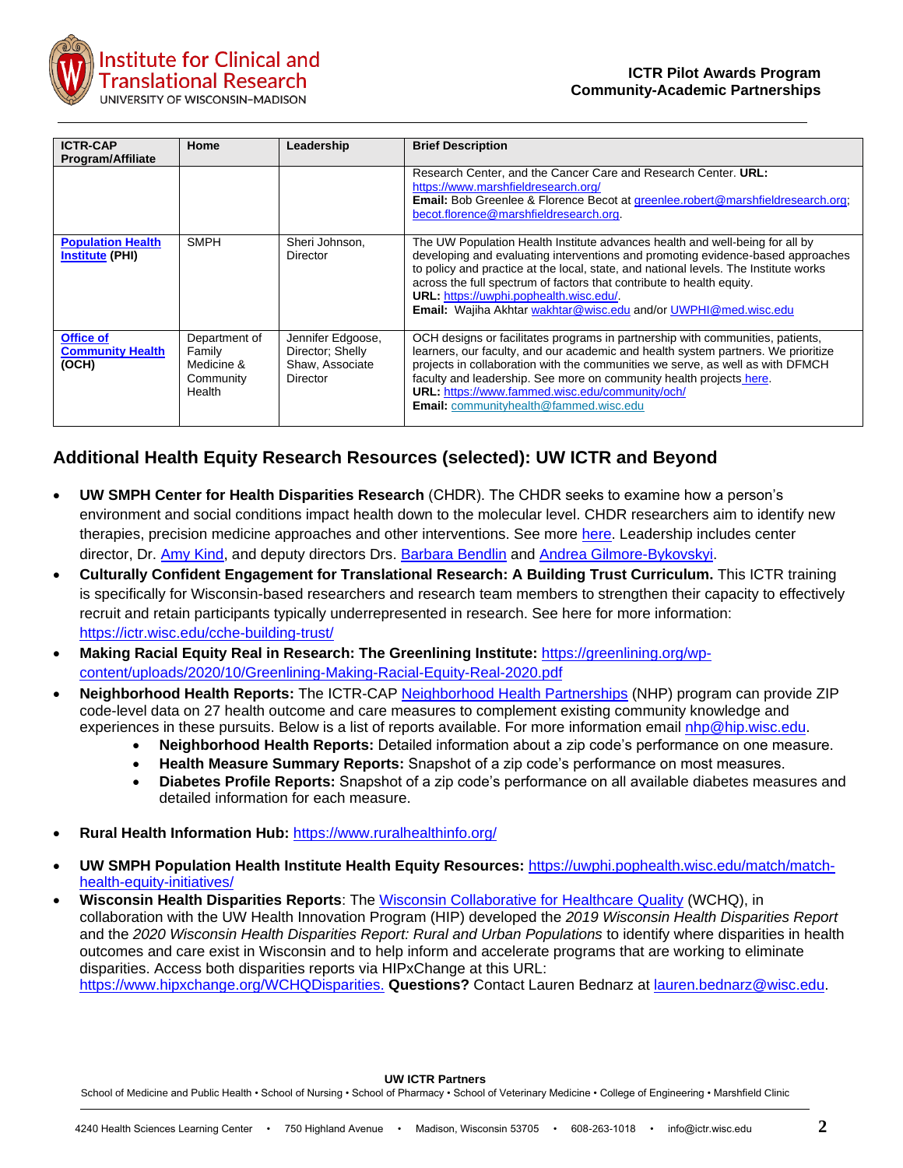

| <b>ICTR-CAP</b><br><b>Program/Affiliate</b>          | Home                                                         | Leadership                                                           | <b>Brief Description</b>                                                                                                                                                                                                                                                                                                                                                                                                                       |
|------------------------------------------------------|--------------------------------------------------------------|----------------------------------------------------------------------|------------------------------------------------------------------------------------------------------------------------------------------------------------------------------------------------------------------------------------------------------------------------------------------------------------------------------------------------------------------------------------------------------------------------------------------------|
|                                                      |                                                              |                                                                      | Research Center, and the Cancer Care and Research Center. URL:<br>https://www.marshfieldresearch.org/<br><b>Email:</b> Bob Greenlee & Florence Becot at greenlee.robert@marshfieldresearch.org;<br>becot.florence@marshfieldresearch.org.                                                                                                                                                                                                      |
| <b>Population Health</b><br><b>Institute (PHI)</b>   | <b>SMPH</b>                                                  | Sheri Johnson.<br>Director                                           | The UW Population Health Institute advances health and well-being for all by<br>developing and evaluating interventions and promoting evidence-based approaches<br>to policy and practice at the local, state, and national levels. The Institute works<br>across the full spectrum of factors that contribute to health equity.<br>URL: https://uwphi.pophealth.wisc.edu/.<br>Email: Wajiha Akhtar wakhtar@wisc.edu and/or UWPHI@med.wisc.edu |
| <b>Office of</b><br><b>Community Health</b><br>(OCH) | Department of<br>Family<br>Medicine &<br>Community<br>Health | Jennifer Edgoose,<br>Director; Shelly<br>Shaw, Associate<br>Director | OCH designs or facilitates programs in partnership with communities, patients,<br>learners, our faculty, and our academic and health system partners. We prioritize<br>projects in collaboration with the communities we serve, as well as with DFMCH<br>faculty and leadership. See more on community health projects here.<br>URL: https://www.fammed.wisc.edu/community/och/<br><b>Email:</b> communityhealth@fammed.wisc.edu               |

## **Additional Health Equity Research Resources (selected): UW ICTR and Beyond**

- **UW SMPH Center for Health Disparities Research** (CHDR). The CHDR seeks to examine how a person's environment and social conditions impact health down to the molecular level. CHDR researchers aim to identify new therapies, precision medicine approaches and other interventions. See more [here.](https://www.med.wisc.edu/news-and-events/2021/may/uw-creates-center-for-health-disparities-research/?fbclid=IwAR3XRUTOVhxj0b2pVmS5-TEMC7buQccdUnbHX4CBTGqJJv6rFo5WlInj3oo) Leadership includes center director, Dr. [Amy Kind,](https://www.medicine.wisc.edu/people-search/people/staff/537/KIND_AMY_JO) and deputy directors Drs. [Barbara Bendlin](https://www.medicine.wisc.edu/people-search/people/staff/643/Bendlin_Barbara) and [Andrea Gilmore-Bykovskyi.](https://nursing.wisc.edu/staff/gilmore-bykovskyi-andrea/)
- **Culturally Confident Engagement for Translational Research: A Building Trust Curriculum.** This ICTR training is specifically for Wisconsin-based researchers and research team members to strengthen their capacity to effectively recruit and retain participants typically underrepresented in research. See here for more information: <https://ictr.wisc.edu/cche-building-trust/>
- **Making Racial Equity Real in Research: The Greenlining Institute:** [https://greenlining.org/wp](https://greenlining.org/wp-content/uploads/2020/10/Greenlining-Making-Racial-Equity-Real-2020.pdf)[content/uploads/2020/10/Greenlining-Making-Racial-Equity-Real-2020.pdf](https://greenlining.org/wp-content/uploads/2020/10/Greenlining-Making-Racial-Equity-Real-2020.pdf)
- **Neighborhood Health Reports:** The ICTR-CAP [Neighborhood Health Partnerships](https://nhp.wisc.edu/) (NHP) program can provide ZIP code-level data on 27 health outcome and care measures to complement existing community knowledge and experiences in these pursuits. Below is a list of reports available. For more information email [nhp@hip.wisc.edu.](mailto:nhp@hip.wisc.edu)
	- **Neighborhood Health Reports:** Detailed information about a zip code's performance on one measure.
	- **Health Measure Summary Reports:** Snapshot of a zip code's performance on most measures.
	- **Diabetes Profile Reports:** Snapshot of a zip code's performance on all available diabetes measures and detailed information for each measure.
- **Rural Health Information Hub:** <https://www.ruralhealthinfo.org/>
- **UW SMPH Population Health Institute Health Equity Resources:** [https://uwphi.pophealth.wisc.edu/match/match](https://uwphi.pophealth.wisc.edu/match/match-health-equity-initiatives/)[health-equity-initiatives/](https://uwphi.pophealth.wisc.edu/match/match-health-equity-initiatives/)
- **Wisconsin Health Disparities Reports**: The [Wisconsin Collaborative for Healthcare Quality](http://www.wchq.org/) (WCHQ), in collaboration with the UW Health Innovation Program (HIP) developed the *2019 Wisconsin Health Disparities Report* and the *2020 Wisconsin Health Disparities Report: Rural and Urban Populations* to identify where disparities in health outcomes and care exist in Wisconsin and to help inform and accelerate programs that are working to eliminate disparities. Access both disparities reports via HIPxChange at this URL: [https://www.hipxchange.org/WCHQDisparities.](https://www.hipxchange.org/WCHQDisparities) **Questions?** Contact Lauren Bednarz at [lauren.bednarz@wisc.edu.](mailto:lauren.bednarz@wisc.edu)

## **UW ICTR Partners**

School of Medicine and Public Health • School of Nursing • School of Pharmacy • School of Veterinary Medicine • College of Engineering • Marshfield Clinic